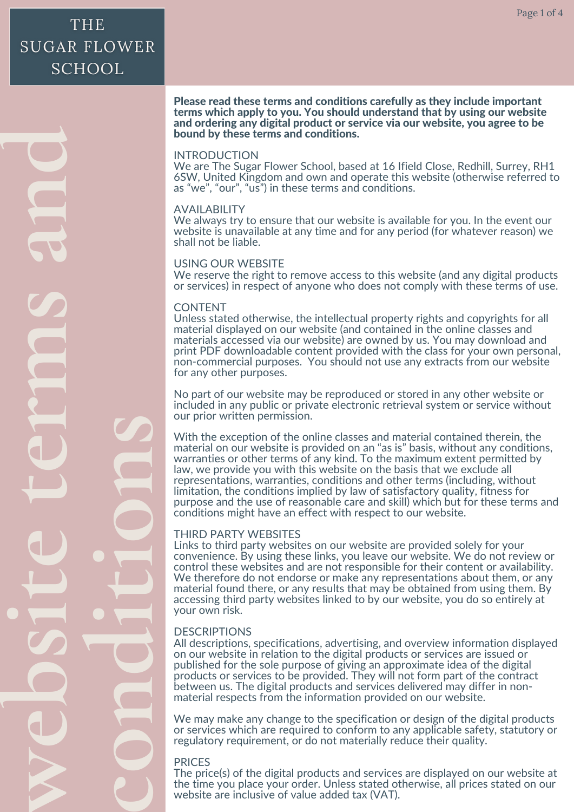$\geqslant$ **eb si tetermsan d cond i ti ons**

#### Please read these terms and conditions carefully as they include important terms which apply to you. You should understand that by using our website and ordering any digital product or service via our website, you agree to be bound by these terms and conditions.

## INTRODUCTION

We are The Sugar Flower School, based at 16 Ifield Close, Redhill, Surrey, RH1 6SW, United Kingdom and own and operate this website (otherwise referred to as "we", "our", "us") in these terms and conditions.

## AVAILABILITY

We always try to ensure that our website is available for you. In the event our website is unavailable at any time and for any period (for whatever reason) we shall not be liable.

## USING OUR WEBSITE

We reserve the right to remove access to this website (and any digital products or services) in respect of anyone who does not comply with these terms of use.

## CONTENT

Unless stated otherwise, the intellectual property rights and copyrights for all material displayed on our website (and contained in the online classes and materials accessed via our website) are owned by us. You may download and print PDF downloadable content provided with the class for your own personal, non-commercial purposes. You should not use any extracts from our website for any other purposes.

No part of our website may be reproduced or stored in any other website or included in any public or private electronic retrieval system or service without our prior written permission.

 purpose and the use of reasonable care and skill) which but for these terms and material on our website is provided on an "as is" basis, without any conditions, With the exception of the online classes and material contained therein, the warranties or other terms of any kind. To the maximum extent permitted by law, we provide you with this website on the basis that we exclude all representations, warranties, conditions and other terms (including, without limitation, the conditions implied by law of satisfactory quality, fitness for conditions might have an effect with respect to our website.

## THIRD PARTY WEBSITES

 accessing third party websites linked to by our website, you do so entirely at control these websites and are not responsible for their content or availability.<br>We therefore do not endorse or make any representations about them, or any Links to third party websites on our website are provided solely for your convenience. By using these links, you leave our website. We do not review or material found there, or any results that may be obtained from using them. By your own risk.

# DESCRIPTIONS

 products or services to be provided. They will not form part of the contract All descriptions, specifications, advertising, and overview information displayed on our website in relation to the digital products or services are issued or published for the sole purpose of giving an approximate idea of the digital between us. The digital products and services delivered may differ in nonmaterial respects from the information provided on our website.

 or services which are required to conform to any applicable safety, statutory or We may make any change to the specification or design of the digital products regulatory requirement, or do not materially reduce their quality.

# PRICES

 The price(s) of the digital products and services are displayed on our website at the time you place your order. Unless stated otherwise, all prices stated on our website are inclusive of value added tax (VAT).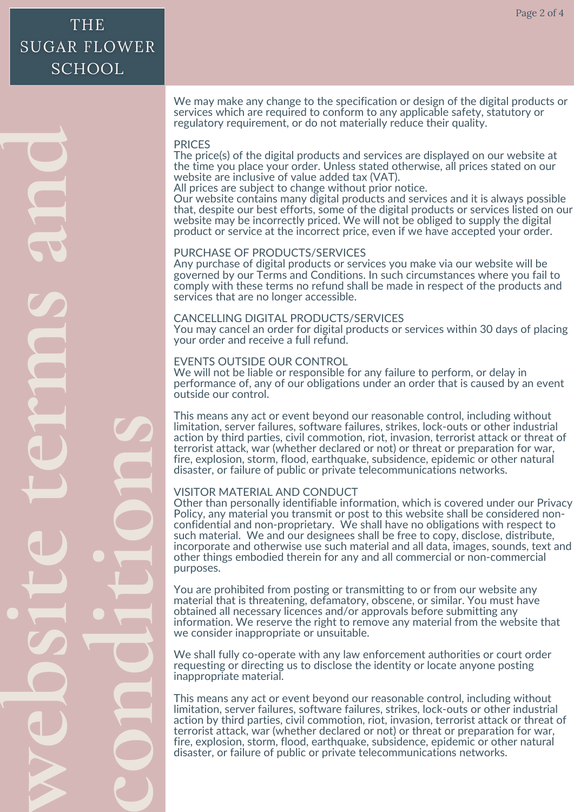$\geqslant$ **eb si tetermsan d cond i ti ons**

We may make any change to the specification or design of the digital products or services which are required to conform to any applicable safety, statutory or regulatory requirement, or do not materially reduce their quality.

## PRICES

The price(s) of the digital products and services are displayed on our website at the time you place your order. Unless stated otherwise, all prices stated on our website are inclusive of value added tax (VAT).

All prices are subject to change without prior notice.

Our website contains many digital products and services and it is always possible that, despite our best efforts, some of the digital products or services listed on our website may be incorrectly priced. We will not be obliged to supply the digital product or service at the incorrect price, even if we have accepted your order.

#### PURCHASE OF PRODUCTS/SERVICES

Any purchase of digital products or services you make via our website will be governed by our Terms and Conditions. In such circumstances where you fail to comply with these terms no refund shall be made in respect of the products and services that are no longer accessible.

#### CANCELLING DIGITAL PRODUCTS/SERVICES

You may cancel an order for digital products or services within 30 days of placing your order and receive a full refund.

#### EVENTS OUTSIDE OUR CONTROL

We will not be liable or responsible for any failure to perform, or delay in performance of, any of our obligations under an order that is caused by an event outside our control.

 terrorist attack, war (whether declared or not) or threat or preparation for war, This means any act or event beyond our reasonable control, including without limitation, server failures, software failures, strikes, lock-outs or other industrial action by third parties, civil commotion, riot, invasion, terrorist attack or threat of fire, explosion, storm, flood, earthquake, subsidence, epidemic or other natural disaster, or failure of public or private telecommunications networks.

## VISITOR MATERIAL AND CONDUCT

 purposes. incorporate and otherwise use such material and all data, images, sounds, text and Other than personally identifiable information, which is covered under our Privacy Policy, any material you transmit or post to this website shall be considered nonconfidential and non-proprietary. We shall have no obligations with respect to such material. We and our designees shall be free to copy, disclose, distribute, other things embodied therein for any and all commercial or non-commercial

 information. We reserve the right to remove any material from the website that material that is threatening, defamatory, obscene, or similar. You must have You are prohibited from posting or transmitting to or from our website any obtained all necessary licences and/or approvals before submitting any we consider inappropriate or unsuitable.

 inappropriate material. We shall fully co-operate with any law enforcement authorities or court order requesting or directing us to disclose the identity or locate anyone posting

 terrorist attack, war (whether declared or not) or threat or preparation for war, This means any act or event beyond our reasonable control, including without limitation, server failures, software failures, strikes, lock-outs or other industrial action by third parties, civil commotion, riot, invasion, terrorist attack or threat of fire, explosion, storm, flood, earthquake, subsidence, epidemic or other natural disaster, or failure of public or private telecommunications networks.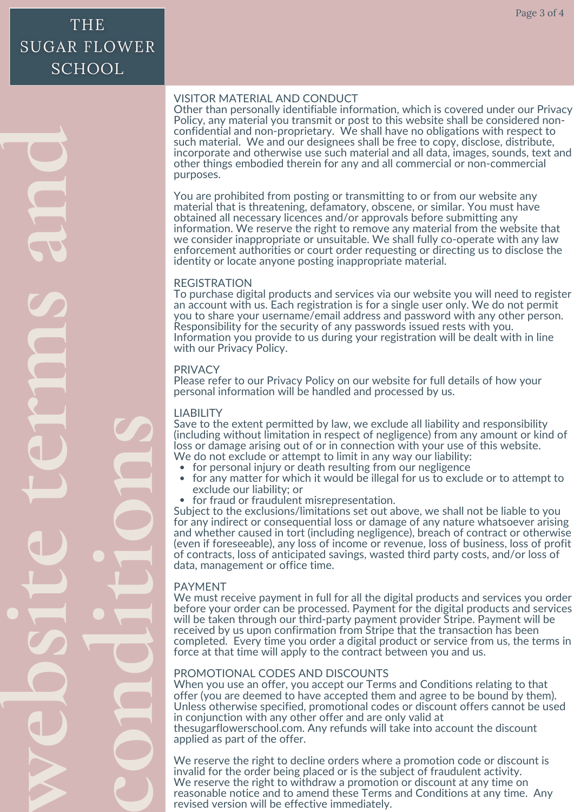**an**

#### VISITOR MATERIAL AND CONDUCT

Other than personally identifiable information, which is covered under our Privacy Policy, any material you transmit or post to this website shall be considered nonconfidential and non-proprietary. We shall have no obligations with respect to such material. We and our designees shall be free to copy, disclose, distribute, incorporate and otherwise use such material and all data, images, sounds, text and other things embodied therein for any and all commercial or non-commercial purposes.

You are prohibited from posting or transmitting to or from our website any material that is threatening, defamatory, obscene, or similar. You must have obtained all necessary licences and/or approvals before submitting any information. We reserve the right to remove any material from the website that we consider inappropriate or unsuitable. We shall fully co-operate with any law enforcement authorities or court order requesting or directing us to disclose the identity or locate anyone posting inappropriate material.

#### REGISTRATION

To purchase digital products and services via our website you will need to register an account with us. Each registration is for a single user only. We do not permit you to share your username/email address and password with any other person. Responsibility for the security of any passwords issued rests with you. Information you provide to us during your registration will be dealt with in line with our Privacy Policy.

#### PRIVACY

Please refer to our Privacy Policy on our website for full details of how your personal information will be handled and processed by us.

## LIABILITY

loss or damage arising out of or in connection with your use of this website.<br>We do not exclude or attempt to limit in any way our liability: Save to the extent permitted by law, we exclude all liability and responsibility (including without limitation in respect of negligence) from any amount or kind of

- for personal injury or death resulting from our negligence
- $\bullet$ for any matter for which it would be illegal for us to exclude or to attempt to exclude our liability; or
- for fraud or fraudulent misrepresentation.

 data, management or office time. (even if foreseeable), any loss of income or revenue, loss of business, loss of profit Subject to the exclusions/limitations set out above, we shall not be liable to you for any indirect or consequential loss or damage of any nature whatsoever arising and whether caused in tort (including negligence), breach of contract or otherwise of contracts, loss of anticipated savings, wasted third party costs, and/or loss of

## PAYMENT

 $\geqslant$ 

**c**

**o**

**n**

**d** 

**i** 

**i** 

**t**

**o**

**n**

**s**

**e**

**s**

**i** 

**t**

**e**

**t**

**e**

**r**

**m**

**s**

**d** 

**b** 

 received by us upon confirmation from Stripe that the transaction has been We must receive payment in full for all the digital products and services you order before your order can be processed. Payment for the digital products and services will be taken through our third-party payment provider Stripe. Payment will be completed. Every time you order a digital product or service from us, the terms in force at that time will apply to the contract between you and us.

## PROMOTIONAL CODES AND DISCOUNTS

 thesugarflowerschool.com. Any refunds will take into account the discount When you use an offer, you accept our Terms and Conditions relating to that offer (you are deemed to have accepted them and agree to be bound by them). Unless otherwise specified, promotional codes or discount offers cannot be used in conjunction with any other offer and are only valid at applied as part of the offer.

invalid for the order being placed or is the subject of fraudulent activity. We reserve the right to decline orders where a promotion code or discount is We reserve the right to withdraw a promotion or discount at any time on reasonable notice and to amend these Terms and Conditions at any time. Any revised version will be effective immediately.